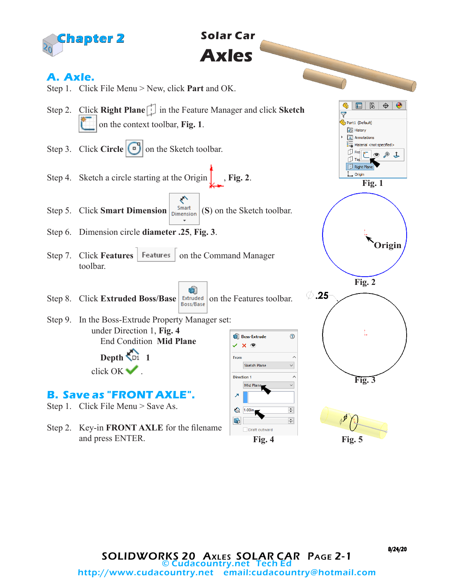

# **Solar Car Axles**

# **A. Axle.**

- Step 1. Click File Menu > New, click **Part** and OK.
- Step 2. Click **Right Plane** in the Feature Manager and click **Sketch** on the context toolbar, **Fig. 1**.
- Step 3. Click **Circle**  $\boxed{\bullet}$  on the Sketch toolbar.
- Step 4. Sketch a circle starting at the Origin | , Fig. 2.
- ← Step 5. Click **Smart Dimension**  $\begin{bmatrix}$  Smart (S) on the Sketch toolbar.
- Step 6. Dimension circle **diameter .25**, **Fig. 3**.
- Step 7. Click **Features** | Features | on the Command Manager toolbar.
- ÒÌ Step 8. Click **Extruded Boss/Base** *Extruded* on the Features toolbar.
- Step 9. In the Boss-Extrude Property Manager set: under Direction 1, **Fig. 4 Boss-Extrude**  End Condition **Mid Plane**  $\vee$   $\times$   $\circ$

 **Depth 1** click OK .

#### **B. Save as "FRONT AXLE".**

Step 1. Click File Menu > Save As.

Step 2. Key-in **FRONT AXLE** for the filename and press ENTER.

From

 $\overline{\lambda}$ 

 $\mathbf{D}$ 

**Direction 1** 

 $\bigodot$  1.00in

Sketch Plane

Mid Plan

Draft outward

**Fig. 1**

 $F$   $\circ$   $\circ$   $1$ 

Q 冒 隐

Part1 (Default) History A Annotations  $\frac{8}{3-6}$  Material <not specified>

*[*] Fro

Right Plane L Origin

**Origin**

**Fig. 2**

**Fig. 3**

**Fig. 4 Fig. 5**

 $\oslash$  .25

⊚

 $\lambda$ 

 $\backsim$ 

 $\lambda$  $\backsim$ 

 $\div$  $\div$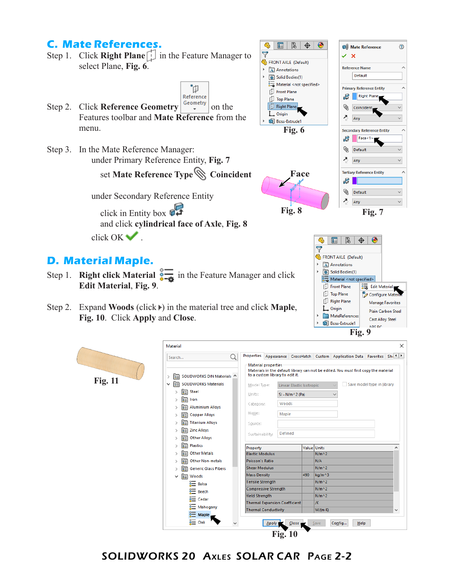#### **C. Mate References.**

- $\overline{\nabla}$ Step 1. Click **Right Plane** in the Feature Manager to FRONT AXLE (Default) select Plane, **Fig. 6**. Annotations Solid Bodies(1)
- Reference Step 2. Click **Reference Geometry Geometry** on the Features toolbar and **Mate Reference** from the menu.
- Step 3. In the Mate Reference Manager: under Primary Reference Entity, **Fig. 7**

set **Mate Reference Type Coincident**

ิผิ

 under Secondary Reference Entity click in Entity box  $\mathbb{C}$  and click **cylindrical face of Axle**, **Fig. 8** click OK .

#### **D. Material Maple.**

- Step 1. **Right click Material**  $\overline{\bullet}$  in the Feature Manager and click **Edit Material**, **Fig. 9**.
- Step 2. Expand **Woods** (click ) in the material tree and click **Maple**, **Fig. 10**. Click **Apply** and **Close**.

| Search              |                                             | Properties<br>O       |                                                               |         |     |                    | Appearance CrossHatch Custom Application Data Favorites Shi 1 1                      |                            |   |
|---------------------|---------------------------------------------|-----------------------|---------------------------------------------------------------|---------|-----|--------------------|--------------------------------------------------------------------------------------|----------------------------|---|
| 信<br><b>Fig. 11</b> | SOLIDWORKS DIN Materials ^                  |                       | <b>Material properties</b><br>to a custom library to edit it. |         |     |                    | Materials in the default library can not be edited. You must first copy the material |                            |   |
| 恒<br>$\checkmark$   | <b>SOLIDWORKS Materials</b>                 |                       | Model Type:<br>Linear Elastic Isotropic                       |         |     |                    |                                                                                      | Save model type in library |   |
|                     | Steel<br>信                                  |                       | Units:<br>$SI - N/m^2 (Pa)$                                   |         |     |                    | $\checkmark$                                                                         |                            |   |
|                     | Iron<br>$\overline{\mathbf{s}}$             |                       | Woods                                                         |         |     |                    |                                                                                      |                            |   |
|                     | <b>Aluminium Alloys</b><br>启                |                       | Category:                                                     |         |     |                    |                                                                                      |                            |   |
|                     | <b>Copper Alloys</b><br>三                   | Name:                 |                                                               | Maple   |     |                    |                                                                                      |                            |   |
|                     | <b>Titanium Alloys</b><br>三                 | Source:               |                                                               |         |     |                    |                                                                                      |                            |   |
|                     | <b>Zinc Alloys</b><br>陌                     |                       | Sustainability:                                               | Defined |     |                    |                                                                                      |                            |   |
|                     | <b>Other Alloys</b><br>$\overline{\bullet}$ |                       |                                                               |         |     |                    |                                                                                      |                            |   |
|                     | <b>Plastics</b><br>眉                        | Property              |                                                               |         |     | Value Units        |                                                                                      |                            | ^ |
|                     | <b>Other Metals</b><br>盲                    |                       | <b>Elastic Modulus</b>                                        |         |     | $N/m^2$            |                                                                                      |                            |   |
|                     | <b>Other Non-metals</b><br>三                |                       | <b>Poisson's Ratio</b>                                        |         |     | N/A                |                                                                                      |                            |   |
|                     | <b>Generic Glass Fibers</b><br>三            |                       | <b>Shear Modulus</b>                                          |         |     | $N/m^2$            |                                                                                      |                            |   |
| $\checkmark$        | Woods<br>眉                                  |                       | <b>Mass Density</b>                                           |         | 490 | kg/m^3             |                                                                                      |                            |   |
|                     | ៖≡<br>Balsa                                 |                       | <b>Tensile Strength</b>                                       |         |     | $N/m^2$            |                                                                                      |                            |   |
|                     | ៖≡<br>Beech                                 | <b>Yield Strenath</b> | Compressive Strength                                          |         |     | $N/m^2$<br>$N/m^2$ |                                                                                      |                            |   |
|                     | ≋<br>Cedar                                  |                       | <b>Thermal Expansion Coefficient</b>                          |         |     | /K                 |                                                                                      |                            |   |
|                     | § Mahogany                                  |                       | <b>Thermal Conductivity</b>                                   |         |     | $W/(m \cdot K)$    |                                                                                      |                            | v |
|                     | $\frac{2}{3}$ Maple                         |                       |                                                               |         |     |                    |                                                                                      |                            |   |

**Fig. 6**

Material <not specified>

Front Plane

Top Plane Right Plane

**Boss-Extrude1** 

L Origin

 $\mathbb{B} \mid \oplus$ 

 $\bullet$ 

**D**III Mate Reference

 $\times$   $\times$ 

Ø. Coinciden

진 Any

W. Default

진 Any **Tertiary Reference Entity** 

진 Any

目降

FRONT AXLE (Default)  $\triangleright$   $\overline{A}$  Annotations Solid Bodies(1)  $\frac{8}{3-9}$  Material <not specified>  $\Box$  Front Plane

Top Plane

Right Plane

MateReferences

Boss-Extrude1

L Origin

 $\bigoplus$ 

 $\bullet$ 

 $rac{1}{2}$  Edit Material

Configure Mate

**Manage Favorites** 

Plain Carbon Steel

Cast Alloy Steel

8 I D. Default

**Reference Name** 

Default

**Primary Reference Entity** 

**Secondary Reference Entity**  $\mathbb{F}$  | Face<1>

**Right Plane** 

⊙

 $\lambda$ 

í

 $\mathbb{G}$ 目

**Face**

**Fig. 8 Fig. 7**

 $\mathbb{G}$ 

 $\triangledown$ 

 $\frac{d}{d}$ **Fig.** 9

SOLIDWORKS 20 Axles SOLAR CAR Page 2-2